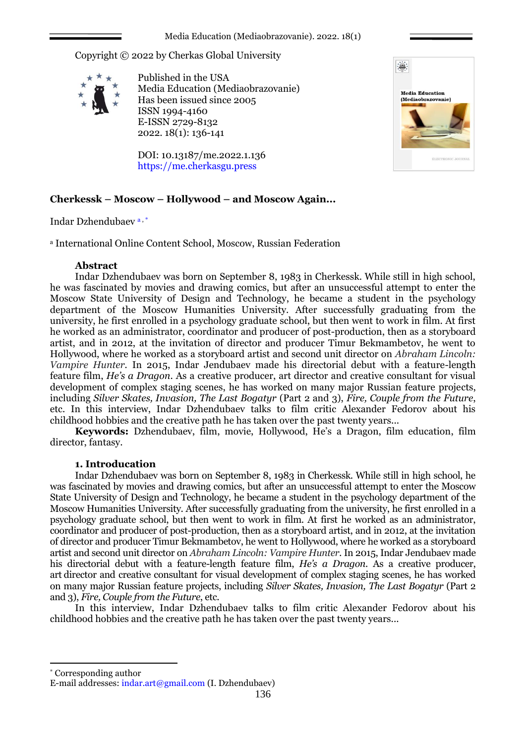### Media Education (Mediaobrazovanie). 2022. 18(1)

Copyright © 2022 by Cherkas Global University



Published in the USA Media Education (Mediaobrazovanie) Has been issued since 2005 ISSN 1994-4160 E-ISSN 2729-8132 2022. 18(1): 136-141

DOI: 10.13187/me.2022.1.136 https://me.cherkasgu.press



# **Cherkessk – Moscow – Hollywood – and Moscow Again...**

Indar Dzhendubaev a , \*

<sup>a</sup> International Online Content School, Moscow, Russian Federation

## **Abstract**

Indar Dzhendubaev was born on September 8, 1983 in Cherkessk. While still in high school, he was fascinated by movies and drawing comics, but after an unsuccessful attempt to enter the Moscow State University of Design and Technology, he became a student in the psychology department of the Moscow Humanities University. After successfully graduating from the university, he first enrolled in a psychology graduate school, but then went to work in film. At first he worked as an administrator, coordinator and producer of post-production, then as a storyboard artist, and in 2012, at the invitation of director and producer Timur Bekmambetov, he went to Hollywood, where he worked as a storyboard artist and second unit director on *Abraham Lincoln: Vampire Hunter.* In 2015, Indar Jendubaev made his directorial debut with a feature-length feature film, *He's a Dragon*. As a creative producer, art director and creative consultant for visual development of complex staging scenes, he has worked on many major Russian feature projects, including *Silver Skates, Invasion, The Last Bogatyr* (Part 2 and 3), *Fire, Couple from the Future*, etc. In this interview, Indar Dzhendubaev talks to film critic Alexander Fedorov about his childhood hobbies and the creative path he has taken over the past twenty years...

**Keywords:** Dzhendubaev, film, movie, Hollywood, He's a Dragon, film education, film director, fantasy.

## **1. Introducation**

Indar Dzhendubaev was born on September 8, 1983 in Cherkessk. While still in high school, he was fascinated by movies and drawing comics, but after an unsuccessful attempt to enter the Moscow State University of Design and Technology, he became a student in the psychology department of the Moscow Humanities University. After successfully graduating from the university, he first enrolled in a psychology graduate school, but then went to work in film. At first he worked as an administrator, coordinator and producer of post-production, then as a storyboard artist, and in 2012, at the invitation of director and producer Timur Bekmambetov, he went to Hollywood, where he worked as a storyboard artist and second unit director on *Abraham Lincoln: Vampire Hunter.* In 2015, Indar Jendubaev made his directorial debut with a feature-length feature film, *He's a Dragon*. As a creative producer, art director and creative consultant for visual development of complex staging scenes, he has worked on many major Russian feature projects, including *Silver Skates, Invasion, The Last Bogatyr* (Part 2 and 3), *Fire, Couple from the Future*, etc.

In this interview, Indar Dzhendubaev talks to film critic Alexander Fedorov about his childhood hobbies and the creative path he has taken over the past twenty years...

Corresponding author

1

E-mail addresses: indar.art@gmail.com (I. Dzhendubaev)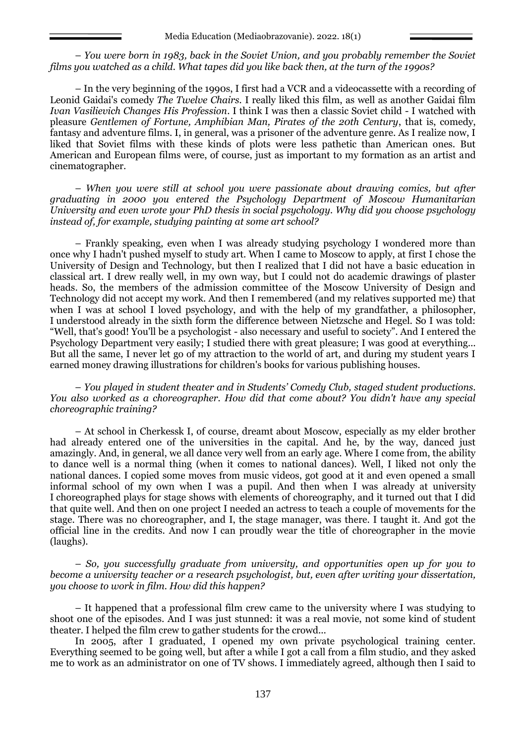– *You were born in 1983, back in the Soviet Union, and you probably remember the Soviet films you watched as a child. What tapes did you like back then, at the turn of the 1990s?*

– In the very beginning of the 1990s, I first had a VCR and a videocassette with a recording of Leonid Gaidai's comedy *The Twelve Chairs.* I really liked this film, as well as another Gaidai film *Ivan Vasilievich Changes His Profession*. I think I was then a classic Soviet child - I watched with pleasure *Gentlemen of Fortune, Amphibian Man, Pirates of the 20th Century*, that is, comedy, fantasy and adventure films. I, in general, was a prisoner of the adventure genre. As I realize now, I liked that Soviet films with these kinds of plots were less pathetic than American ones. But American and European films were, of course, just as important to my formation as an artist and cinematographer.

– *When you were still at school you were passionate about drawing comics, but after graduating in 2000 you entered the Psychology Department of Moscow Humanitarian University and even wrote your PhD thesis in social psychology. Why did you choose psychology instead of, for example, studying painting at some art school?* 

– Frankly speaking, even when I was already studying psychology I wondered more than once why I hadn't pushed myself to study art. When I came to Moscow to apply, at first I chose the University of Design and Technology, but then I realized that I did not have a basic education in classical art. I drew really well, in my own way, but I could not do academic drawings of plaster heads. So, the members of the admission committee of the Moscow University of Design and Technology did not accept my work. And then I remembered (and my relatives supported me) that when I was at school I loved psychology, and with the help of my grandfather, a philosopher, I understood already in the sixth form the difference between Nietzsche and Hegel. So I was told: "Well, that's good! You'll be a psychologist - also necessary and useful to society". And I entered the Psychology Department very easily; I studied there with great pleasure; I was good at everything... But all the same, I never let go of my attraction to the world of art, and during my student years I earned money drawing illustrations for children's books for various publishing houses.

– *You played in student theater and in Students' Comedy Club, staged student productions. You also worked as a choreographer. How did that come about? You didn't have any special choreographic training?*

– At school in Cherkessk I, of course, dreamt about Moscow, especially as my elder brother had already entered one of the universities in the capital. And he, by the way, danced just amazingly. And, in general, we all dance very well from an early age. Where I come from, the ability to dance well is a normal thing (when it comes to national dances). Well, I liked not only the national dances. I copied some moves from music videos, got good at it and even opened a small informal school of my own when I was a pupil. And then when I was already at university I choreographed plays for stage shows with elements of choreography, and it turned out that I did that quite well. And then on one project I needed an actress to teach a couple of movements for the stage. There was no choreographer, and I, the stage manager, was there. I taught it. And got the official line in the credits. And now I can proudly wear the title of choreographer in the movie (laughs).

– *So, you successfully graduate from university, and opportunities open up for you to become a university teacher or a research psychologist, but, even after writing your dissertation, you choose to work in film. How did this happen?*

– It happened that a professional film crew came to the university where I was studying to shoot one of the episodes. And I was just stunned: it was a real movie, not some kind of student theater. I helped the film crew to gather students for the crowd...

In 2005, after I graduated, I opened my own private psychological training center. Everything seemed to be going well, but after a while I got a call from a film studio, and they asked me to work as an administrator on one of TV shows. I immediately agreed, although then I said to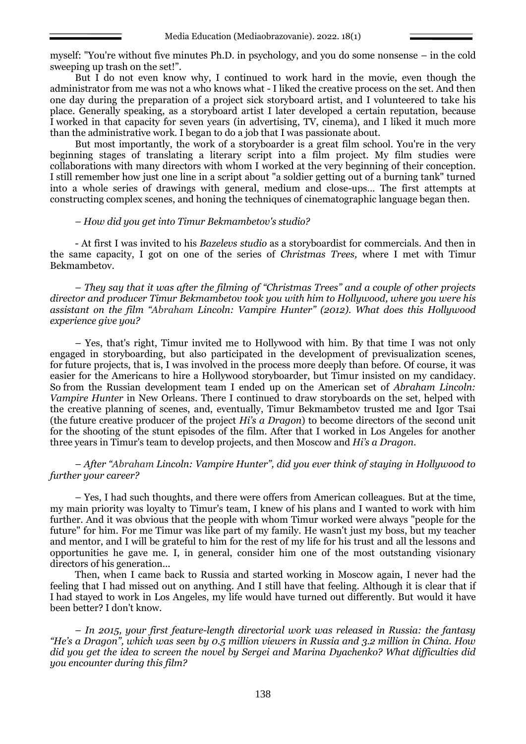myself: "You're without five minutes Ph.D. in psychology, and you do some nonsense – in the cold sweeping up trash on the set!".

But I do not even know why, I continued to work hard in the movie, even though the administrator from me was not a who knows what - I liked the creative process on the set. And then one day during the preparation of a project sick storyboard artist, and I volunteered to take his place. Generally speaking, as a storyboard artist I later developed a certain reputation, because I worked in that capacity for seven years (in advertising, TV, cinema), and I liked it much more than the administrative work. I began to do a job that I was passionate about.

But most importantly, the work of a storyboarder is a great film school. You're in the very beginning stages of translating a literary script into a film project. My film studies were collaborations with many directors with whom I worked at the very beginning of their conception. I still remember how just one line in a script about "a soldier getting out of a burning tank" turned into a whole series of drawings with general, medium and close-ups... The first attempts at constructing complex scenes, and honing the techniques of cinematographic language began then.

### – *How did you get into Timur Bekmambetov's studio?*

- At first I was invited to his *Bazelevs studio* as a storyboardist for commercials. And then in the same capacity, I got on one of the series of *Christmas Trees,* where I met with Timur Bekmambetov.

– *They say that it was after the filming of "Christmas Trees" and a couple of other projects director and producer Timur Bekmambetov took you with him to Hollywood, where you were his assistant on the film "Abraham Lincoln: Vampire Hunter" (2012). What does this Hollywood experience give you?*

– Yes, that's right, Timur invited me to Hollywood with him. By that time I was not only engaged in storyboarding, but also participated in the development of previsualization scenes, for future projects, that is, I was involved in the process more deeply than before. Of course, it was easier for the Americans to hire a Hollywood storyboarder, but Timur insisted on my candidacy. So from the Russian development team I ended up on the American set of *Abraham Lincoln: Vampire Hunter* in New Orleans. There I continued to draw storyboards on the set, helped with the creative planning of scenes, and, eventually, Timur Bekmambetov trusted me and Igor Tsai (the future creative producer of the project *Hi's a Dragon*) to become directors of the second unit for the shooting of the stunt episodes of the film. After that I worked in Los Angeles for another three years in Timur's team to develop projects, and then Moscow and *Hi's a Dragon*.

– *After "Abraham Lincoln: Vampire Hunter", did you ever think of staying in Hollywood to further your career?*

– Yes, I had such thoughts, and there were offers from American colleagues. But at the time, my main priority was loyalty to Timur's team, I knew of his plans and I wanted to work with him further. And it was obvious that the people with whom Timur worked were always "people for the future" for him. For me Timur was like part of my family. He wasn't just my boss, but my teacher and mentor, and I will be grateful to him for the rest of my life for his trust and all the lessons and opportunities he gave me. I, in general, consider him one of the most outstanding visionary directors of his generation...

Then, when I came back to Russia and started working in Moscow again, I never had the feeling that I had missed out on anything. And I still have that feeling. Although it is clear that if I had stayed to work in Los Angeles, my life would have turned out differently. But would it have been better? I don't know.

– *In 2015, your first feature-length directorial work was released in Russia: the fantasy "He's a Dragon", which was seen by 0.5 million viewers in Russia and 3.2 million in China. How did you get the idea to screen the novel by Sergei and Marina Dyachenko? What difficulties did you encounter during this film?*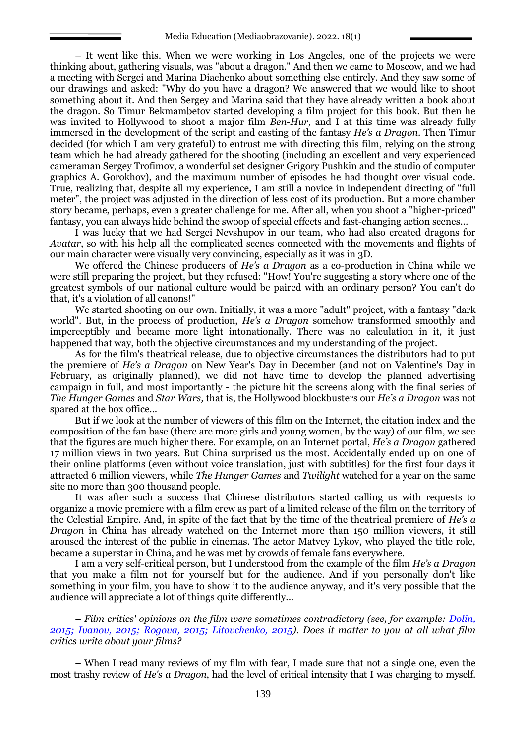– It went like this. When we were working in Los Angeles, one of the projects we were thinking about, gathering visuals, was "about a dragon." And then we came to Moscow, and we had a meeting with Sergei and Marina Diachenko about something else entirely. And they saw some of our drawings and asked: "Why do you have a dragon? We answered that we would like to shoot something about it. And then Sergey and Marina said that they have already written a book about the dragon. So Timur Bekmambetov started developing a film project for this book. But then he was invited to Hollywood to shoot a major film *Ben-Hur,* and I at this time was already fully immersed in the development of the script and casting of the fantasy *He's a Dragon*. Then Timur decided (for which I am very grateful) to entrust me with directing this film, relying on the strong team which he had already gathered for the shooting (including an excellent and very experienced cameraman Sergey Trofimov, a wonderful set designer Grigory Pushkin and the studio of computer graphics A. Gorokhov), and the maximum number of episodes he had thought over visual code. True, realizing that, despite all my experience, I am still a novice in independent directing of "full meter", the project was adjusted in the direction of less cost of its production. But a more chamber story became, perhaps, even a greater challenge for me. After all, when you shoot a "higher-priced" fantasy, you can always hide behind the swoop of special effects and fast-changing action scenes...

I was lucky that we had Sergei Nevshupov in our team, who had also created dragons for *Avatar*, so with his help all the complicated scenes connected with the movements and flights of our main character were visually very convincing, especially as it was in 3D.

We offered the Chinese producers of *He's a Dragon* as a co-production in China while we were still preparing the project, but they refused: "How! You're suggesting a story where one of the greatest symbols of our national culture would be paired with an ordinary person? You can't do that, it's a violation of all canons!"

We started shooting on our own. Initially, it was a more "adult" project, with a fantasy "dark world". But, in the process of production, *He's a Dragon* somehow transformed smoothly and imperceptibly and became more light intonationally. There was no calculation in it, it just happened that way, both the objective circumstances and my understanding of the project.

As for the film's theatrical release, due to objective circumstances the distributors had to put the premiere of *He's a Dragon* on New Year's Day in December (and not on Valentine's Day in February, as originally planned), we did not have time to develop the planned advertising campaign in full, and most importantly - the picture hit the screens along with the final series of *The Hunger Games* and *Star Wars,* that is, the Hollywood blockbusters our *He's a Dragon* was not spared at the box office...

But if we look at the number of viewers of this film on the Internet, the citation index and the composition of the fan base (there are more girls and young women, by the way) of our film, we see that the figures are much higher there. For example, on an Internet portal, *He's a Dragon* gathered 17 million views in two years. But China surprised us the most. Accidentally ended up on one of their online platforms (even without voice translation, just with subtitles) for the first four days it attracted 6 million viewers, while *The Hunger Games* and *Twilight* watched for a year on the same site no more than 300 thousand people.

It was after such a success that Chinese distributors started calling us with requests to organize a movie premiere with a film crew as part of a limited release of the film on the territory of the Celestial Empire. And, in spite of the fact that by the time of the theatrical premiere of *He's a Dragon* in China has already watched on the Internet more than 150 million viewers, it still aroused the interest of the public in cinemas. The actor Matvey Lykov, who played the title role, became a superstar in China, and he was met by crowds of female fans everywhere.

I am a very self-critical person, but I understood from the example of the film *He's a Dragon* that you make a film not for yourself but for the audience. And if you personally don't like something in your film, you have to show it to the audience anyway, and it's very possible that the audience will appreciate a lot of things quite differently...

– *Film critics' opinions on the film were sometimes contradictory (see, for example: Dolin, 2015; Ivanov, 2015; Rogova, 2015; Litovchenko, 2015). Does it matter to you at all what film critics write about your films?*

– When I read many reviews of my film with fear, I made sure that not a single one, even the most trashy review of *He's a Dragon*, had the level of critical intensity that I was charging to myself.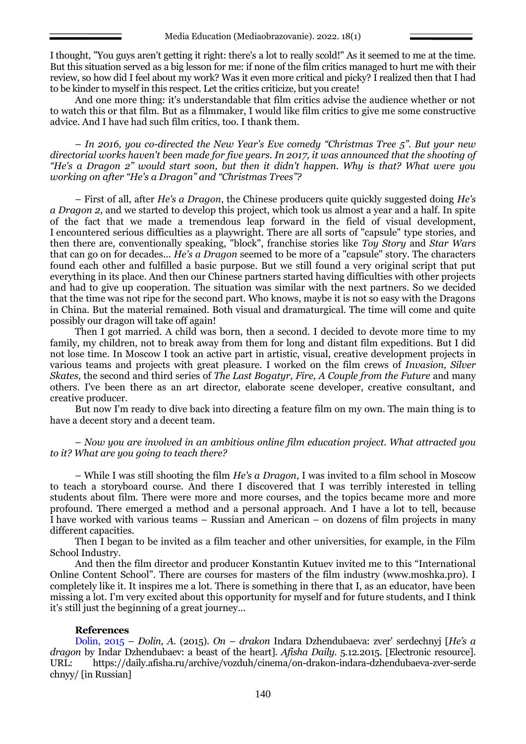I thought, "You guys aren't getting it right: there's a lot to really scold!" As it seemed to me at the time. But this situation served as a big lesson for me: if none of the film critics managed to hurt me with their review, so how did I feel about my work? Was it even more critical and picky? I realized then that I had to be kinder to myself in this respect. Let the critics criticize, but you create!

And one more thing: it's understandable that film critics advise the audience whether or not to watch this or that film. But as a filmmaker, I would like film critics to give me some constructive advice. And I have had such film critics, too. I thank them.

– *In 2016, you co-directed the New Year's Eve comedy "Christmas Tree 5". But your new directorial works haven't been made for five years. In 2017, it was announced that the shooting of "He's a Dragon 2" would start soon, but then it didn't happen. Why is that? What were you working on after "He's a Dragon" and "Christmas Trees"?*

– First of all, after *He's a Dragon*, the Chinese producers quite quickly suggested doing *He's a Dragon 2*, and we started to develop this project, which took us almost a year and a half. In spite of the fact that we made a tremendous leap forward in the field of visual development, I encountered serious difficulties as a playwright. There are all sorts of "capsule" type stories, and then there are, conventionally speaking, "block", franchise stories like *Toy Story* and *Star Wars* that can go on for decades... *He's a Dragon* seemed to be more of a "capsule" story. The characters found each other and fulfilled a basic purpose. But we still found a very original script that put everything in its place. And then our Chinese partners started having difficulties with other projects and had to give up cooperation. The situation was similar with the next partners. So we decided that the time was not ripe for the second part. Who knows, maybe it is not so easy with the Dragons in China. But the material remained. Both visual and dramaturgical. The time will come and quite possibly our dragon will take off again!

Then I got married. A child was born, then a second. I decided to devote more time to my family, my children, not to break away from them for long and distant film expeditions. But I did not lose time. In Moscow I took an active part in artistic, visual, creative development projects in various teams and projects with great pleasure. I worked on the film crews of *Invasion, Silver Skates,* the second and third series of *The Last Bogatyr, Fire, A Couple from the Future* and many others. I've been there as an art director, elaborate scene developer, creative consultant, and creative producer.

But now I'm ready to dive back into directing a feature film on my own. The main thing is to have a decent story and a decent team.

– *Now you are involved in an ambitious online film education project. What attracted you to it? What are you going to teach there?*

– While I was still shooting the film *He's a Dragon*, I was invited to a film school in Moscow to teach a storyboard course. And there I discovered that I was terribly interested in telling students about film. There were more and more courses, and the topics became more and more profound. There emerged a method and a personal approach. And I have a lot to tell, because I have worked with various teams – Russian and American – on dozens of film projects in many different capacities.

Then I began to be invited as a film teacher and other universities, for example, in the Film School Industry.

And then the film director and producer Konstantin Kutuev invited me to this "International Online Content School". There are courses for masters of the film industry (www.moshka.pro). I completely like it. It inspires me a lot. There is something in there that I, as an educator, have been missing a lot. I'm very excited about this opportunity for myself and for future students, and I think it's still just the beginning of a great journey...

### **References**

Dolin, 2015 – *Dolin, A.* (2015). *On – drakon* Indara Dzhendubaeva: zver' serdechnyj [*He's a dragon* by Indar Dzhendubaev: a beast of the heart]. *Afisha Daily.* 5.12.2015. [Electronic resource]. URL: [https://daily.afisha.ru/archive/vozduh/cinema/on-drakon-indara-dzhendubaeva-zver-serde](https://daily.afisha.ru/archive/vozduh/cinema/on-drakon-indara-dzhendubaeva-zver-serdechnyy/) [chnyy/](https://daily.afisha.ru/archive/vozduh/cinema/on-drakon-indara-dzhendubaeva-zver-serdechnyy/) [in Russian]